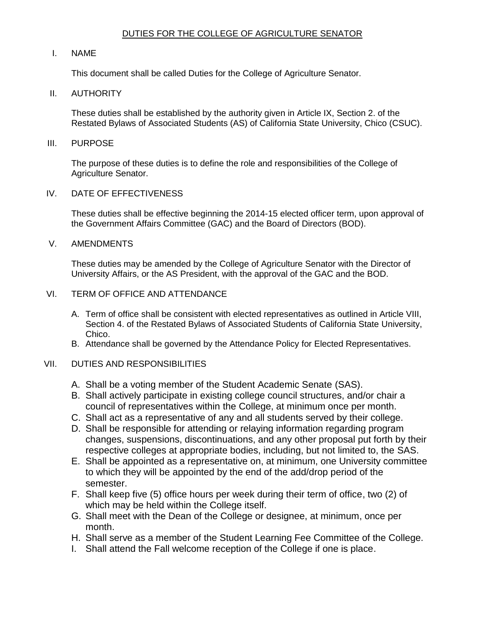## DUTIES FOR THE COLLEGE OF AGRICULTURE SENATOR

### I. NAME

This document shall be called Duties for the College of Agriculture Senator.

### II. AUTHORITY

 These duties shall be established by the authority given in Article IX, Section 2. of the Restated Bylaws of Associated Students (AS) of California State University, Chico (CSUC).

#### III. PURPOSE

 The purpose of these duties is to define the role and responsibilities of the College of Agriculture Senator.

### IV. DATE OF EFFECTIVENESS

 These duties shall be effective beginning the 2014-15 elected officer term, upon approval of the Government Affairs Committee (GAC) and the Board of Directors (BOD).

### V. AMENDMENTS

 These duties may be amended by the College of Agriculture Senator with the Director of University Affairs, or the AS President, with the approval of the GAC and the BOD.

### VI. TERM OF OFFICE AND ATTENDANCE

- A. Term of office shall be consistent with elected representatives as outlined in Article VIII, Section 4. of the Restated Bylaws of Associated Students of California State University, Chico.
- B. Attendance shall be governed by the Attendance Policy for Elected Representatives.

## VII. DUTIES AND RESPONSIBILITIES

- A. Shall be a voting member of the Student Academic Senate (SAS).
- B. Shall actively participate in existing college council structures, and/or chair a council of representatives within the College, at minimum once per month.
- C. Shall act as a representative of any and all students served by their college.
- D. Shall be responsible for attending or relaying information regarding program changes, suspensions, discontinuations, and any other proposal put forth by their respective colleges at appropriate bodies, including, but not limited to, the SAS.
- to which they will be appointed by the end of the add/drop period of the E. Shall be appointed as a representative on, at minimum, one University committee semester.
- F. Shall keep five (5) office hours per week during their term of office, two (2) of which may be held within the College itself.
- G. Shall meet with the Dean of the College or designee, at minimum, once per month.
- H. Shall serve as a member of the Student Learning Fee Committee of the College.
- I. Shall attend the Fall welcome reception of the College if one is place.